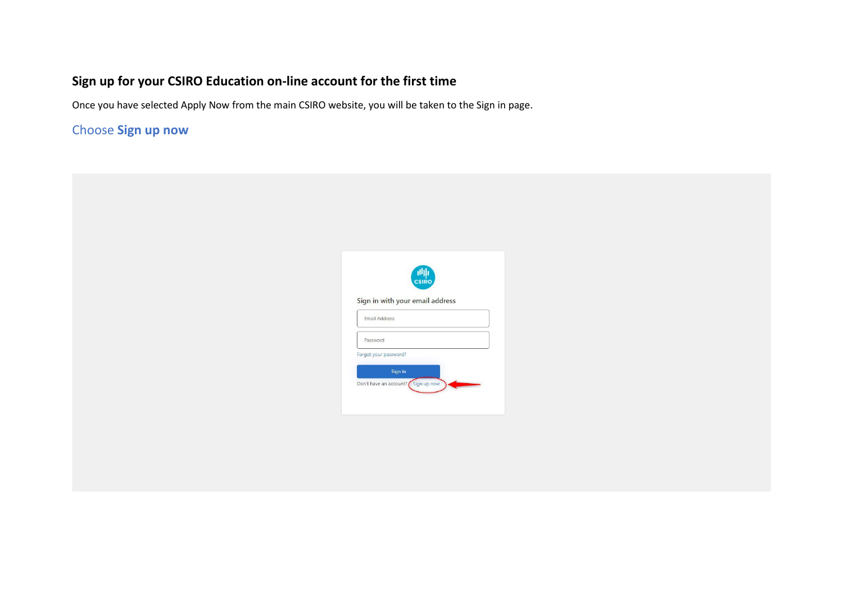## **Sign up for your CSIRO Education on-line account for the first time**

Once you have selected Apply Now from the main CSIRO website, you will be taken to the Sign in page.

## Choose **Sign up now**

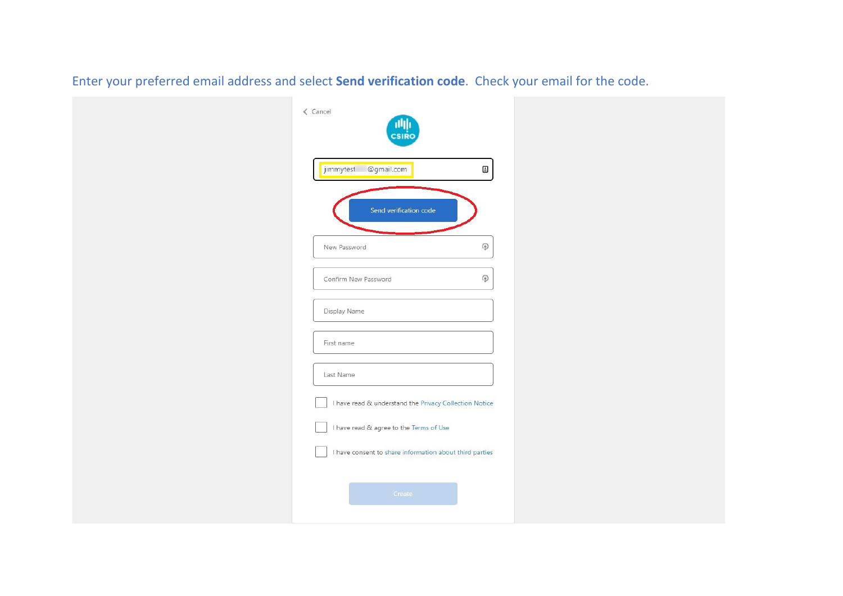| $\langle$ Cancel<br><b>CSIRO</b>                                                                   |  |
|----------------------------------------------------------------------------------------------------|--|
| jimmytest @gmail.com<br>⊕                                                                          |  |
| Send verification code<br>۷<br>New Password                                                        |  |
| $\mathbb Q$<br>Confirm New Password                                                                |  |
| Display Name<br>First name                                                                         |  |
| Last Name<br>I have read & understand the Privacy Collection Notice                                |  |
| I have read & agree to the Terms of Use<br>I have consent to share information about third parties |  |
| Create                                                                                             |  |

Enter your preferred email address and select **Send verification code**. Check your email for the code.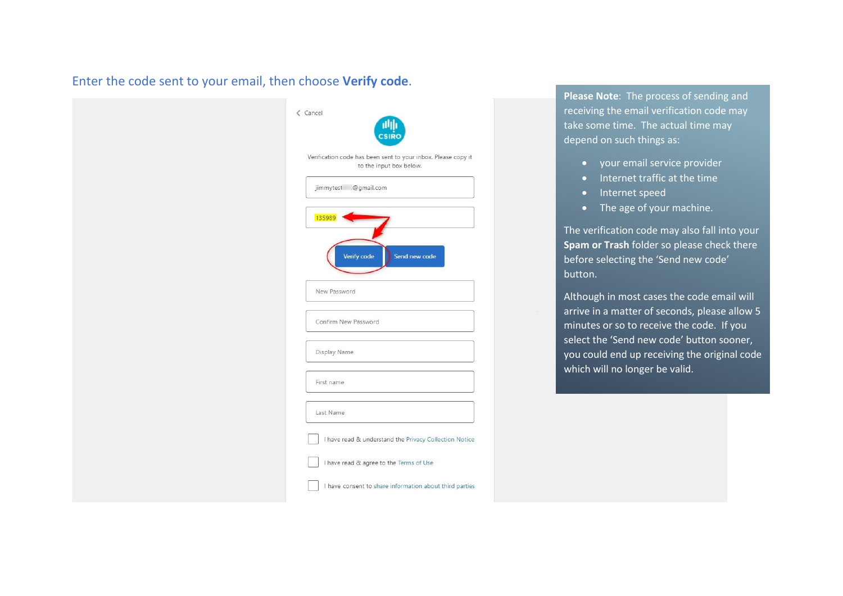## Enter the code sent to your email, then choose **Verify code**.

| $\langle$ Cancel<br><b>CSIR</b>                                                          |
|------------------------------------------------------------------------------------------|
| Verification code has been sent to your inbox. Please copy it<br>to the input box below. |
| jimmytest @gmail.com                                                                     |
| 135989<br>Verify code<br>Send new code                                                   |
| New Password                                                                             |
| Confirm New Password                                                                     |
| Display Name                                                                             |
| First name                                                                               |
| Last Name                                                                                |
| I have read & understand the Privacy Collection Notice                                   |
| I have read & agree to the Terms of Use                                                  |
| I have consent to share information about third parties                                  |

**Please Note**: The process of sending and receiving the email verification code may take some time. The actual time may depend on such things as:

- your email service provider
- Internet traffic at the time
- Internet speed
- The age of your machine.

The verification code may also fall into your **Spam or Trash** folder so please check there before selecting the 'Send new code' button.

Although in most cases the code email will arrive in a matter of seconds, please allow 5 minutes or so to receive the code. If you select the 'Send new code' button sooner, you could end up receiving the original code which will no longer be valid.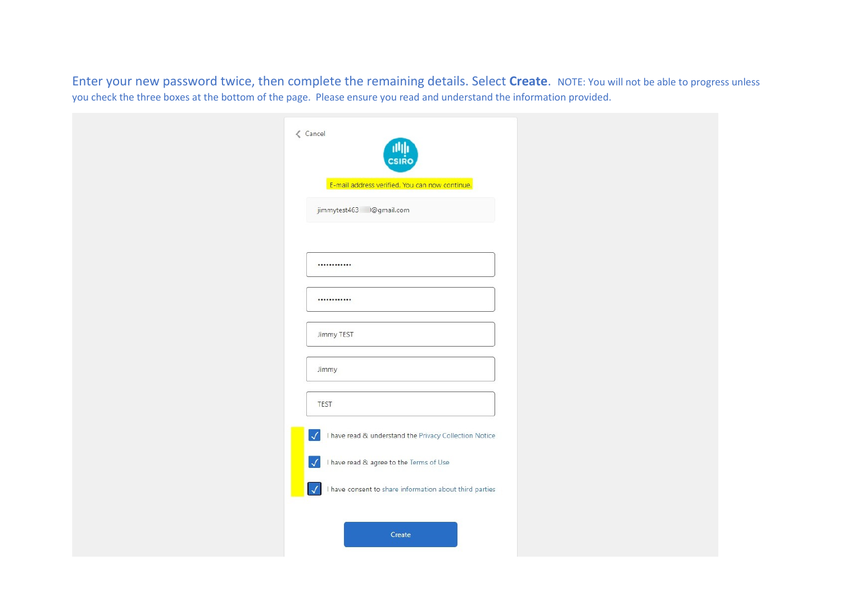Enter your new password twice, then complete the remaining details. Select **Create**. NOTE: You will not be able to progress unless you check the three boxes at the bottom of the page. Please ensure you read and understand the information provided.

| $\langle$ Cancel<br><b>CSIRC</b>                                        |  |
|-------------------------------------------------------------------------|--|
| E-mail address verified. You can now continue.                          |  |
| jimmytest463 @gmail.com                                                 |  |
|                                                                         |  |
|                                                                         |  |
| Jimmy TEST                                                              |  |
| Jimmy                                                                   |  |
| <b>TEST</b>                                                             |  |
| I have read & understand the Privacy Collection Notice<br>$\checkmark$  |  |
| I have read & agree to the Terms of Use<br>$\checkmark$                 |  |
| I have consent to share information about third parties<br>$\checkmark$ |  |
| Create                                                                  |  |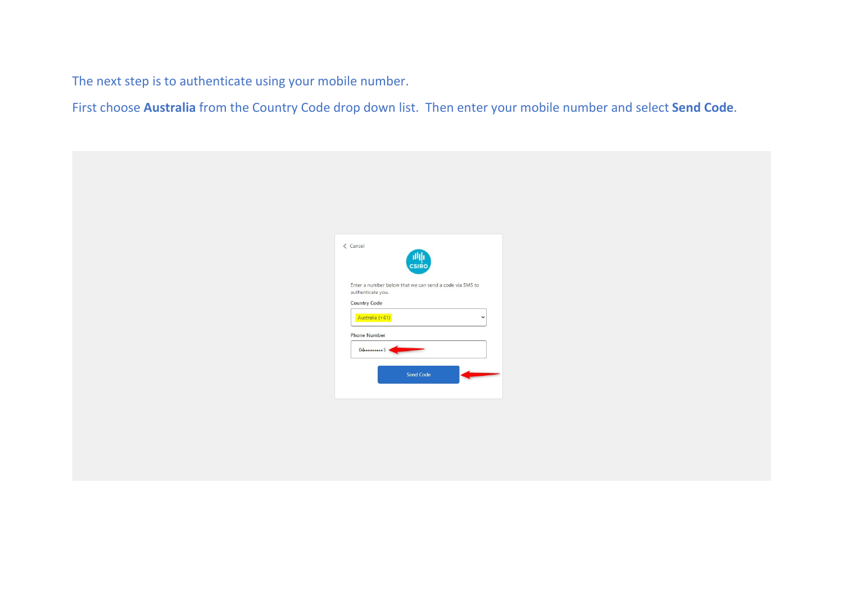The next step is to authenticate using your mobile number.

First choose **Australia** from the Country Code drop down list. Then enter your mobile number and select **Send Code**.

| $\langle$ Cancel<br>THE THE T                                                |  |
|------------------------------------------------------------------------------|--|
| Enter a number below that we can send a code via SMS to<br>authenticate you. |  |
| <b>Country Code</b><br>Australia (+61)<br>$\checkmark$                       |  |
| <b>Phone Number</b><br>$04$ *********5                                       |  |
| Send Code                                                                    |  |
|                                                                              |  |
|                                                                              |  |
|                                                                              |  |
|                                                                              |  |